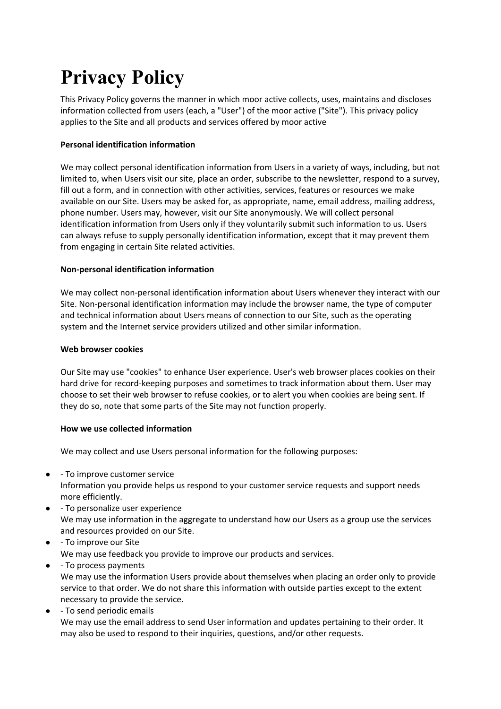# **Privacy Policy**

This Privacy Policy governs the manner in which moor active collects, uses, maintains and discloses information collected from users (each, a "User") of the moor active ("Site"). This privacy policy applies to the Site and all products and services offered by moor active

# **Personal identification information**

We may collect personal identification information from Users in a variety of ways, including, but not limited to, when Users visit our site, place an order, subscribe to the newsletter, respond to a survey, fill out a form, and in connection with other activities, services, features or resources we make available on our Site. Users may be asked for, as appropriate, name, email address, mailing address, phone number. Users may, however, visit our Site anonymously. We will collect personal identification information from Users only if they voluntarily submit such information to us. Users can always refuse to supply personally identification information, except that it may prevent them from engaging in certain Site related activities.

# **Non-personal identification information**

We may collect non-personal identification information about Users whenever they interact with our Site. Non-personal identification information may include the browser name, the type of computer and technical information about Users means of connection to our Site, such as the operating system and the Internet service providers utilized and other similar information.

# **Web browser cookies**

Our Site may use "cookies" to enhance User experience. User's web browser places cookies on their hard drive for record-keeping purposes and sometimes to track information about them. User may choose to set their web browser to refuse cookies, or to alert you when cookies are being sent. If they do so, note that some parts of the Site may not function properly.

# **How we use collected information**

We may collect and use Users personal information for the following purposes:

- - To improve customer service Information you provide helps us respond to your customer service requests and support needs more efficiently.
- - To personalize user experience We may use information in the aggregate to understand how our Users as a group use the services and resources provided on our Site.
- - To improve our Site We may use feedback you provide to improve our products and services.
- - To process payments We may use the information Users provide about themselves when placing an order only to provide service to that order. We do not share this information with outside parties except to the extent necessary to provide the service.
- - To send periodic emails We may use the email address to send User information and updates pertaining to their order. It may also be used to respond to their inquiries, questions, and/or other requests.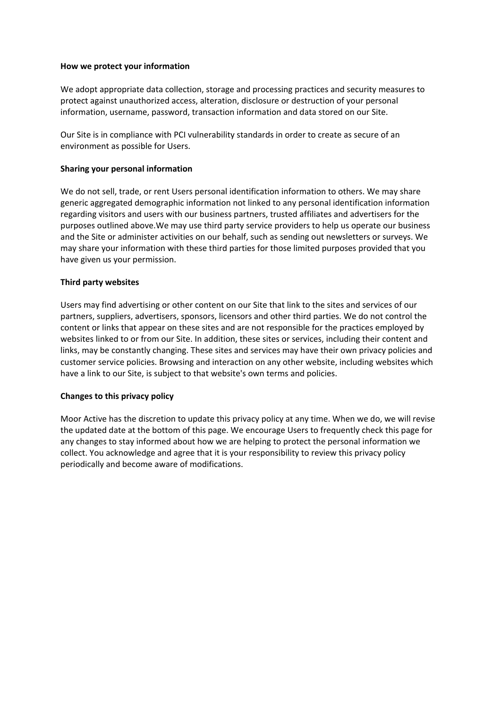#### **How we protect your information**

We adopt appropriate data collection, storage and processing practices and security measures to protect against unauthorized access, alteration, disclosure or destruction of your personal information, username, password, transaction information and data stored on our Site.

Our Site is in compliance with PCI vulnerability standards in order to create as secure of an environment as possible for Users.

#### **Sharing your personal information**

We do not sell, trade, or rent Users personal identification information to others. We may share generic aggregated demographic information not linked to any personal identification information regarding visitors and users with our business partners, trusted affiliates and advertisers for the purposes outlined above.We may use third party service providers to help us operate our business and the Site or administer activities on our behalf, such as sending out newsletters or surveys. We may share your information with these third parties for those limited purposes provided that you have given us your permission.

#### **Third party websites**

Users may find advertising or other content on our Site that link to the sites and services of our partners, suppliers, advertisers, sponsors, licensors and other third parties. We do not control the content or links that appear on these sites and are not responsible for the practices employed by websites linked to or from our Site. In addition, these sites or services, including their content and links, may be constantly changing. These sites and services may have their own privacy policies and customer service policies. Browsing and interaction on any other website, including websites which have a link to our Site, is subject to that website's own terms and policies.

# **Changes to this privacy policy**

Moor Active has the discretion to update this privacy policy at any time. When we do, we will revise the updated date at the bottom of this page. We encourage Users to frequently check this page for any changes to stay informed about how we are helping to protect the personal information we collect. You acknowledge and agree that it is your responsibility to review this privacy policy periodically and become aware of modifications.